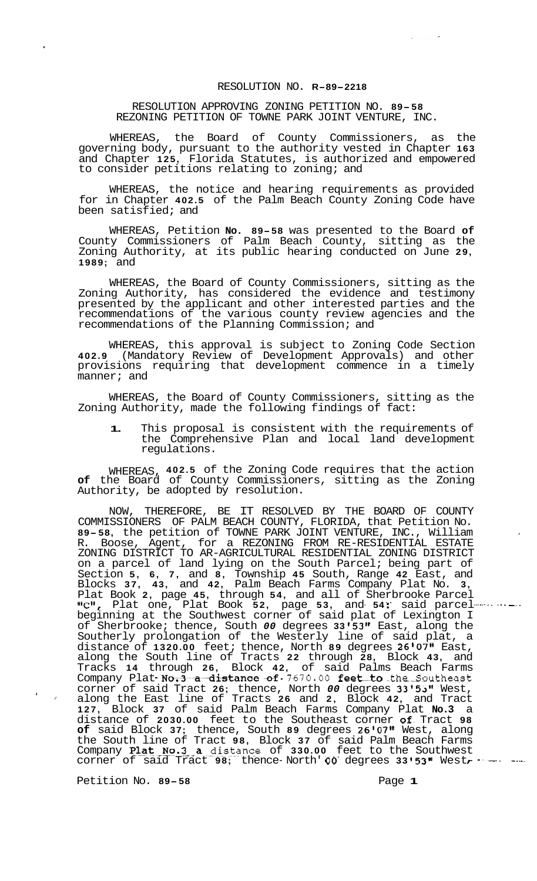## RESOLUTION NO. **R-89-2218**

## RESOLUTION APPROVING ZONING PETITION NO. **89-58**  REZONING PETITION OF TOWNE PARK JOINT VENTURE, INC.

WHEREAS, the Board of County Commissioners, as the governing body, pursuant to the authority vested in Chapter **163**  and Chapter **125,** Florida Statutes, is authorized and empowered to consider petitions relating to zoning; and

WHEREAS, the notice and hearing requirements as provided for in Chapter **402.5** of the Palm Beach County Zoning Code have been satisfied; and

WHEREAS, Petition **No. 89-58** was presented to the Board **of**  County Commissioners of Palm Beach County, sitting as the Zoning Authority, at its public hearing conducted on June **29, 1989;** and

WHEREAS, the Board of County Commissioners, sitting as the Zoning Authority, has considered the evidence and testimony presented by the applicant and other interested parties and the recommendations of the various county review agencies and the recommendations of the Planning Commission; and

WHEREAS, this approval is subject to Zoning Code Section **402.9** (Mandatory Review of Development Approvals) and other provisions requiring that development commence in a timely manner; and

WHEREAS, the Board of County Commissioners, sitting as the Zoning Authority, made the following findings of fact:

**1.** This proposal is consistent with the requirements of the Comprehensive Plan and local land development regulations.

WHEREAS, **402.5** of the Zoning Code requires that the action **of** the Board of County Commissioners, sitting as the Zoning Authority, be adopted by resolution.

NOW, THEREFORE, BE IT RESOLVED BY THE BOARD OF COUNTY COMMISSIONERS OF PALM BEACH COUNTY, FLORIDA, that Petition No. **89-58,** the petition of TOWNE PARK JOINT VENTURE, INC., William R. Boose, Agent, for a REZONING FROM RE-RESIDENTIAL ESTATE on a parcel of land lying on the South Parcel; being part of Section **5, 6, 7,** and **8,** Township **45** South, Range **42** East, and Blocks **37, 43,** and **42,** Palm Beach Farms Company Plat No. **3,**  Plat Book **2,** page **45,** through **54,** and all of Sherbrooke Parcel ltC1t, Plat one, Plat Book **52,** page **53,** and- **54** :- said parcel---- -- -- - - - -- beginning at the Southwest corner of said plat of Lexington I of Sherbrooke; thence, South 00 degrees 33'53" East, along the Southerly prolongation of the Westerly line of said plat, a distance of **1320.00** feet; thence, North **89** degrees **26'0711** East, along the South line of Tracts **22** through **28,** Block **43,** and Tracks 14 through 26, Block 42, of said Palms Beach Farms<br>Company Plat No.3 a distance of 7670.00 feet to the Southeast corner of said Tract 26; thence, North 00 degrees 33'53" West, ' along the East line of Tracts **26** and **2,** Block **42,** and Tract **127,** Block **37** of said Palm Beach Farms Company Plat **No.3** a distance of **2030.00** feet to the Southeast corner of^ Tract **98 of** said Block **37;** thence, South **89** degrees **26r0711** West, along the South line of Tract **98,** Block **37** of said Palm Beach Farms Company Plat No. 3 a distance of 330.00 feet to the Southwest distance of 2030.00 feet to the Southeast corner of Tract 98<br>
of said Block 37; thence, South 89 degrees 26'07" West, along<br>
the South line of Tract 98, Block 37 of said Palm Beach Farms<br>
Company Plat No.3 a distance of 33 ZONING DISTRICT TO AR-AGRICULTURAL RESIDENTIAL ZONING DISTRICT

Petition No. **89-58** Page 1

**4**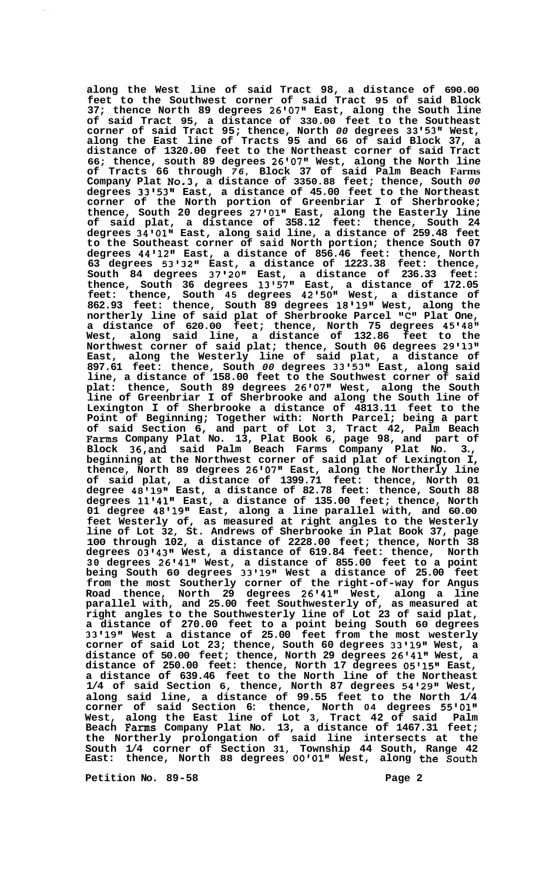**along the West line of said Tract 98, a distance of 690.00 feet to the Southwest corner of said Tract 95 of said Block 37; thence North 89 degrees 26'07" East, along the South line of said Tract 95, a distance of 330.00 feet to the Southeast corner of said Tract 95; thence, North** *00* **degrees 33 '53" West, along the East line of Tracts 95 and 66 of said Block 37, a distance of 1320.00 feet to the Northeast corner of said Tract 66; thence, south 89 degrees 26v0711 West, along the North line of Tracts 66 through** *76,* **Block 37 of said Palm Beach Farms Company Plat No.3, a distance of 3350.88 feet; thence, South** *00*  **degrees 33@5318 East, a distance of 45.00 feet to the Northeast corner of the North portion of Greenbriar I of Sherbrooke; thence, South 20 degrees 2710111 East, along the Easterly line of said plat, a distance of 358.12 feet: thence, South 24 degrees 34@01\*l East, along said line, a distance of 259.48 feet to the Southeast corner of said North portion; thence South 07 degrees 4411211 East, a distance of 856.46 feet: thence, North 63 degrees 5313211 East, a distance of 1223.38 feet: thence, South 84 degrees 37t2011 East, a distance of 236.33 feet: thence, South 36 degrees 13l57lI East, a distance of 172.05 feet: thence, South 45 degrees 42'50" West, a distance of**  862.93 feet: thence, South 89 degrees 18'19" West, along the **northerly line of said plat of Sherbrooke Parcel IrC\*I Plat One, a distance of 620.00 feet; thence, North 75 degrees 45'48" West, along said line, a distance of 132.86 feet to the Northwest corner of said plat; thence, South 06 degrees 29'13" East, along the Westerly line of said plat, a distance of 897.61 feet: thence, South** *00* **degrees 3315381 East, along said line, a distance of 158.00 feet to the Southwest corner of said plat: thence, South 89 degrees 2680711 West, along the South line of Greenbriar I of Sherbrooke and along the South line of Lexington I of Sherbrooke a distance of 4813.11 feet to the Point of Beginning; Together with: North Parcel; being a part of said Section 6, and part of Lot 3, Tract 42, Palm Beach Fams Company Plat No. 13, Plat Book 6, page 98, and part of Block 36,and said Palm Beach Farms Company Plat No. 3., beginning at the Northwest corner of said plat of Lexington I, thence, North 89 degrees 26l07" East, along the Northerly line of said plat, a distance of 1399.71 feet: thence, North 01 degree 48'19" East, a distance of 82.78 feet: thence, South 88 degrees 1114111 East, a distance of 135.00 feet; thence, North 01 degree 48119t1 East, along a line parallel with, and 60.00 feet Westerly of, as measured at right angles to the Westerly line of Lot 32, St. Andrews of Sherbrooke in Plat Book 37, page 100 through 102, a distance of 2228.00 feet; thence, North 38 degrees 03t4311 West, a distance of 619.84 feet: thence, North 30 degrees 2614181 West, a distance of 855.00 feet to a point being South 60 degrees 33'19" West a distance of 25.00 feet from the most Southerly corner of the right-of-way for Angus Road thence, North 29 degrees 26141v1 West, along a line parallel with, and 25.00 feet Southwesterly of, as measured at right angles to the Southwesterly line of Lot 23 of said plat, a distance of 270.00 feet to a point being South 60 degrees 33'19" West a distance of 25.00 feet from the most westerly**  corner of said Lot 23; thence, South 60 degrees 33'19" West, a distance of 50.00 feet; thence, North 29 degrees 26'41" West, a distance of 250.00 feet: thence, North 17 degrees 05'15" East, **a distance of 639.46 feet to the North line of the Northeast 1/4 of said Section 6, thence, North 87 degrees 54l29" West, along said line, a distance of 99.55 feet to the North 1/4 corner of said Section 6: thence, North 04 degrees 55'0111 West, along the East line of Lot 3, Tract 42 of said Palm Beach Farms Company Plat No. 13, a distance of 1467.31 feet; the Northerly prolongation of said line intersects at the South 1/4 corner of Section 31, Township 44 South, Range 42 East: thence, North 88 degrees 00'01" West, along the South** 

**Petition No. 89-58 Page 2 Page 2**